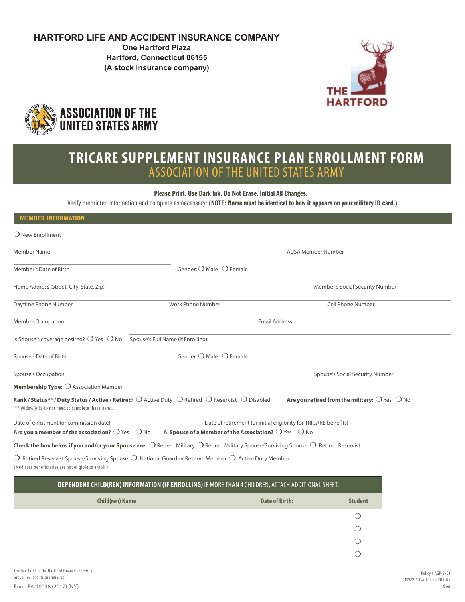## **HARTFORD LIFE AND ACCIDENT INSURANCE COMPANY**

**One Hartford Plaza Hartford, Connecticut 06155 (A stock insurance company)**





# **TRICARE SUPPLEMENT INSURANCE PLAN ENROLLMENT FORM** ASSOCIATION OF THE UNITED STATES ARMY

Please Print. Use Dark Ink. Do Not Erase. Initial All Changes.

Verify preprinted information and complete as necessary: (NOTE: Name must be identical to how it appears on your military ID card.)

| <b>MEMBER INFORMATION</b>                                                                    |                                                                                                                                                                 |                                                                  |
|----------------------------------------------------------------------------------------------|-----------------------------------------------------------------------------------------------------------------------------------------------------------------|------------------------------------------------------------------|
| $\bigcirc$ New Enrollment                                                                    |                                                                                                                                                                 |                                                                  |
| <b>Member Name</b>                                                                           |                                                                                                                                                                 | <b>AUSA Member Number</b>                                        |
| Member's Date of Birth                                                                       | Gender: $\bigcirc$ Male $\bigcirc$ Female                                                                                                                       |                                                                  |
| Home Address (Street, City, State, Zip)                                                      |                                                                                                                                                                 | Member's Social Security Number                                  |
| Daytime Phone Number                                                                         | Work Phone Number                                                                                                                                               | <b>Cell Phone Number</b>                                         |
| Member Occupation                                                                            |                                                                                                                                                                 | <b>Email Address</b>                                             |
| Is Spouse's coverage desired? $\bigcirc$ Yes $\bigcirc$ No Spouse's Full Name (If Enrolling) |                                                                                                                                                                 |                                                                  |
| Spouse's Date of Birth                                                                       | Gender: $\bigcirc$ Male $\bigcirc$ Female                                                                                                                       |                                                                  |
| Spouse's Occupation                                                                          |                                                                                                                                                                 | Spouse's Social Security Number                                  |
| <b>Membership Type:</b> $\bigcirc$ Association Member                                        |                                                                                                                                                                 |                                                                  |
| ** Widow(er)s do not need to complete these items.                                           | Rank / Status** / Duty Status / Active / Retired: O Active Duty O Retired O Reservist O Disabled                                                                | Are you retired from the military: $\bigcirc$ Yes $\bigcirc$ No  |
| Date of enlistment (or commission date)                                                      |                                                                                                                                                                 | Date of retirement (or initial eligibility for TRICARE benefits) |
| Are you a member of the association? $\bigcirc$ Yes $\bigcirc$ No                            | A Spouse of a Member of the Association? $\bigcirc$ Yes $\bigcirc$ No                                                                                           |                                                                  |
|                                                                                              | Check the box below if you and/or your Spouse are: $\bigcirc$ Retired Military $\bigcirc$ Retired Military Spouse/Surviving Spouse $\bigcirc$ Retired Reservist |                                                                  |
| (Medicare beneficiaries are not eligible to enroll.)                                         | $\bigcirc$ Retired Reservist Spouse/Surviving Spouse $\bigcirc$ National Guard or Reserve Member $\bigcirc$ Active Duty Member                                  |                                                                  |

| DEPENDENT CHILD(REN) INFORMATION (IF ENROLLING) IF MORE THAN 4 CHILDREN, ATTACH ADDITIONAL SHEET. |                |                |
|---------------------------------------------------------------------------------------------------|----------------|----------------|
| <b>Child(ren) Name</b>                                                                            | Date of Birth: | <b>Student</b> |
|                                                                                                   |                |                |
|                                                                                                   |                |                |
|                                                                                                   |                |                |
|                                                                                                   |                |                |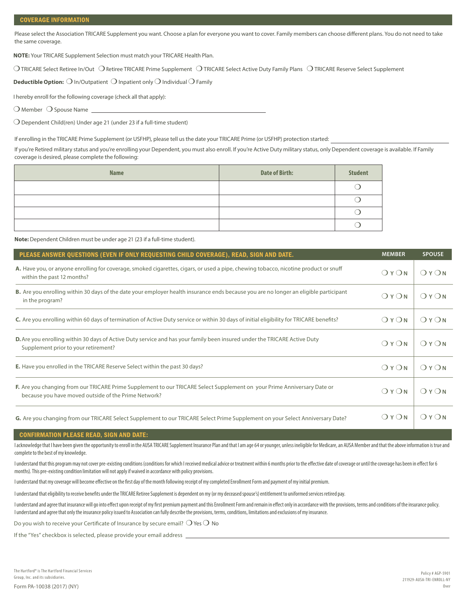Please select the Association TRICARE Supplement you want. Choose a plan for everyone you want to cover. Family members can choose different plans. You do not need to take the same coverage.

**NOTE:** Your TRICARE Supplement Selection must match your TRICARE Health Plan.

❍ TRICARE Select Retiree In/Out ❍ Retiree TRICARE Prime Supplement ❍ TRICARE Select Active Duty Family Plans ❍ TRICARE Reserve Select Supplement

**Deductible Option:** ❍ In/Outpatient ❍ Inpatient only ❍ Individual ❍ Family

I hereby enroll for the following coverage (check all that apply):

 $\bigcirc$  Member  $\bigcirc$  Spouse Name \_

❍ Dependent Child(ren) Under age 21 (under 23 if a full-time student)

If enrolling in the TRICARE Prime Supplement (or USFHP), please tell us the date your TRICARE Prime (or USFHP) protection started:

If you're Retired military status and you're enrolling your Dependent, you must also enroll. If you're Active Duty military status, only Dependent coverage is available. If Family coverage is desired, please complete the following:

| <b>Name</b> | <b>Date of Birth:</b> | <b>Student</b> |
|-------------|-----------------------|----------------|
|             |                       |                |
|             |                       |                |
|             |                       |                |
|             |                       |                |

**Note:** Dependent Children must be under age 21 (23 if a full-time student).

| PLEASE ANSWER QUESTIONS (EVEN IF ONLY REQUESTING CHILD COVERAGE), READ, SIGN AND DATE.                                                                                           | <b>MEMBER</b> | <b>SPOUSE</b> |
|----------------------------------------------------------------------------------------------------------------------------------------------------------------------------------|---------------|---------------|
| A. Have you, or anyone enrolling for coverage, smoked cigarettes, cigars, or used a pipe, chewing tobacco, nicotine product or snuff<br>within the past 12 months?               | OYON          | OYON          |
| B. Are you enrolling within 30 days of the date your employer health insurance ends because you are no longer an eligible participant<br>in the program?                         | OYON          | OYON          |
| C. Are you enrolling within 60 days of termination of Active Duty service or within 30 days of initial eligibility for TRICARE benefits?                                         | OYON          | OYON          |
| D. Are you enrolling within 30 days of Active Duty service and has your family been insured under the TRICARE Active Duty<br>Supplement prior to your retirement?                | OYON          | OYON          |
| <b>E.</b> Have you enrolled in the TRICARE Reserve Select within the past 30 days?                                                                                               | OYON          | OYON          |
| F. Are you changing from our TRICARE Prime Supplement to our TRICARE Select Supplement on your Prime Anniversary Date or<br>because you have moved outside of the Prime Network? | OYON          | OYON          |
| G. Are you changing from our TRICARE Select Supplement to our TRICARE Select Prime Supplement on your Select Anniversary Date?                                                   | OYON          | OYON          |

#### CONFIRMATION PLEASE READ, SIGN AND DATE:

I acknowledge that I have been given the opportunity to enroll in the AUSA TRICARE Supplement Insurance Plan and that I am age 64 or younger, unless ineligible for Medicare, an AUSA Member and that the above information is complete to the best of my knowledge.

I understand that this program may not cover pre-existing conditions (conditions for which I received medical advice or treatment within 6 months prior to the effective date of coverage or until the coverage has been in ef months). This pre-existing condition limitation will not apply if waived in accordance with policy provisions.

I understand that my coverage will become effective on the first day of the month following receipt of my completed Enrollment Form and payment of my initial premium.

I understand that eligibility to receive benefits under the TRICARE Retiree Supplement is dependent on my (or my deceased spouse's) entitlement to uniformed services retired pay.

I understand and agree that insurance will go into effect upon receipt of my first premium payment and this Enrollment Form and remain in effect only in accordance with the provisions, terms and conditions of the insurance I understand and agree that only the insurance policy issued to Association can fully describe the provisions, terms, conditions, limitations and exclusions of my insurance.

Do you wish to receive your Certificate of Insurance by secure email?  $\bigcirc$  Yes  $\bigcirc$  No

If the "Yes" checkbox is selected, please provide your email address